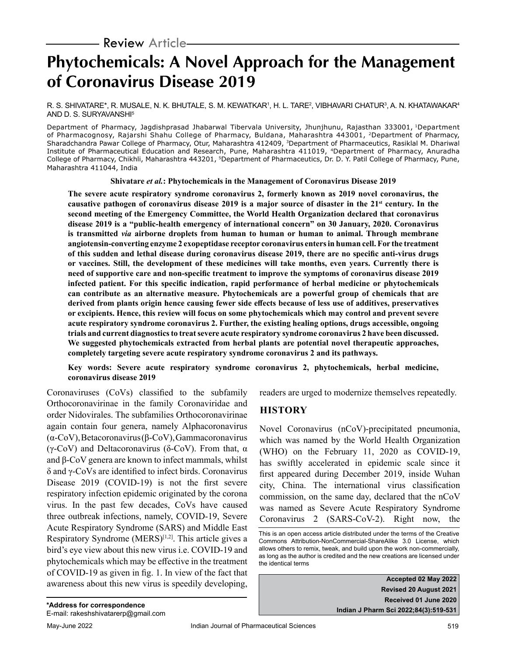# **Phytochemicals: A Novel Approach for the Management of Coronavirus Disease 2019**

R. S. SHIVATARE\*, R. MUSALE, N. K. BHUTALE, S. M. KEWATKAR', H. L. TARE<del>'</del>, VIBHAVARI CHATUR<sup>3</sup>, A. N. KHATAWAKAR<sup>4</sup> AND D. S. SURYAVANSHI5

Department of Pharmacy, Jagdishprasad Jhabarwal Tibervala University, Jhunjhunu, Rajasthan 333001, 1Department of Pharmacognosy, Rajarshi Shahu College of Pharmacy, Buldana, Maharashtra 443001, 2Department of Pharmacy, Sharadchandra Pawar College of Pharmacy, Otur, Maharashtra 412409, 3Department of Pharmaceutics, Rasiklal M. Dhariwal Institute of Pharmaceutical Education and Research, Pune, Maharashtra 411019, 4Department of Pharmacy, Anuradha College of Pharmacy, Chikhli, Maharashtra 443201, <sup>5</sup>Department of Pharmaceutics, Dr. D. Y. Patil College of Pharmacy, Pune, Maharashtra 411044, India

**Shivatare** *et al.***: Phytochemicals in the Management of Coronavirus Disease 2019**

**The severe acute respiratory syndrome coronavirus 2, formerly known as 2019 novel coronavirus, the**  causative pathogen of coronavirus disease 2019 is a major source of disaster in the 21<sup>st</sup> century. In the **second meeting of the Emergency Committee, the World Health Organization declared that coronavirus disease 2019 is a "public-health emergency of international concern" on 30 January, 2020. Coronavirus is transmitted** *via* **airborne droplets from human to human or human to animal. Through membrane angiotensin-converting enzyme 2 exopeptidase receptor coronavirus enters in human cell. For the treatment of this sudden and lethal disease during coronavirus disease 2019, there are no specific anti-virus drugs or vaccines. Still, the development of these medicines will take months, even years. Currently there is need of supportive care and non-specific treatment to improve the symptoms of coronavirus disease 2019 infected patient. For this specific indication, rapid performance of herbal medicine or phytochemicals can contribute as an alternative measure. Phytochemicals are a powerful group of chemicals that are derived from plants origin hence causing fewer side effects because of less use of additives, preservatives or excipients. Hence, this review will focus on some phytochemicals which may control and prevent severe acute respiratory syndrome coronavirus 2. Further, the existing healing options, drugs accessible, ongoing trials and current diagnostics to treat severe acute respiratory syndrome coronavirus 2 have been discussed. We suggested phytochemicals extracted from herbal plants are potential novel therapeutic approaches, completely targeting severe acute respiratory syndrome coronavirus 2 and its pathways.**

#### **Key words: Severe acute respiratory syndrome coronavirus 2, phytochemicals, herbal medicine, coronavirus disease 2019**

Coronaviruses (CoVs) classified to the subfamily Orthocoronavirinae in the family Coronaviridae and order Nidovirales. The subfamilies Orthocoronavirinae again contain four genera, namely Alphacoronavirus (α-CoV), Betacoronavirus (β-CoV), Gammacoronavirus (γ-CoV) and Deltacoronavirus (δ-CoV). From that,  $\alpha$ and β-CoV genera are known to infect mammals, whilst δ and γ-CoVs are identified to infect birds. Coronavirus Disease 2019 (COVID-19) is not the first severe respiratory infection epidemic originated by the corona virus. In the past few decades, CoVs have caused three outbreak infections, namely, COVID-19, Severe Acute Respiratory Syndrome (SARS) and Middle East Respiratory Syndrome (MERS) $[1,2]$ . This article gives a bird's eye view about this new virus i.e. COVID-19 and phytochemicals which may be effective in the treatment of COVID-19 as given in fig. 1. In view of the fact that awareness about this new virus is speedily developing, readers are urged to modernize themselves repeatedly.

## **HISTORY**

Novel Coronavirus (nCoV)-precipitated pneumonia, which was named by the World Health Organization (WHO) on the February 11, 2020 as COVID-19, has swiftly accelerated in epidemic scale since it first appeared during December 2019, inside Wuhan city, China. The international virus classification commission, on the same day, declared that the nCoV was named as Severe Acute Respiratory Syndrome Coronavirus 2 (SARS-CoV-2). Right now, the

**Accepted 02 May 2022 Revised 20 August 2021 Received 01 June 2020 Indian J Pharm Sci 2022;84(3):519-531**

This is an open access article distributed under the terms of the Creative Commons Attribution-NonCommercial-ShareAlike 3.0 License, which allows others to remix, tweak, and build upon the work non-commercially, as long as the author is credited and the new creations are licensed under the identical terms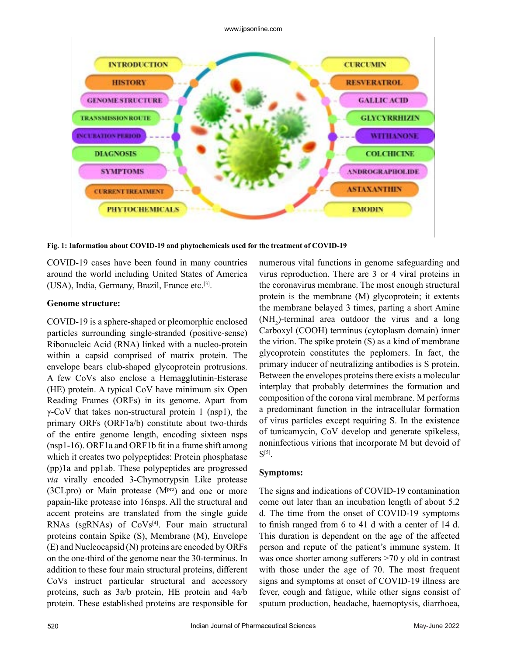

**Fig. 1: Information about COVID-19 and phytochemicals used for the treatment of COVID-19**

COVID-19 cases have been found in many countries around the world including United States of America (USA), India, Germany, Brazil, France etc.[3].

#### **Genome structure:**

COVID-19 is a sphere-shaped or pleomorphic enclosed particles surrounding single-stranded (positive-sense) Ribonucleic Acid (RNA) linked with a nucleo-protein within a capsid comprised of matrix protein. The envelope bears club-shaped glycoprotein protrusions. A few CoVs also enclose a Hemagglutinin-Esterase (HE) protein. A typical CoV have minimum six Open Reading Frames (ORFs) in its genome. Apart from γ-CoV that takes non-structural protein 1 (nsp1), the primary ORFs (ORF1a/b) constitute about two-thirds of the entire genome length, encoding sixteen nsps (nsp1-16). ORF1a and ORF1b fit in a frame shift among which it creates two polypeptides: Protein phosphatase (pp)1a and pp1ab. These polypeptides are progressed *via* virally encoded 3-Chymotrypsin Like protease (3CLpro) or Main protease  $(M<sup>pro</sup>)$  and one or more papain-like protease into 16nsps. All the structural and accent proteins are translated from the single guide RNAs (sgRNAs) of CoVs<sup>[4]</sup>. Four main structural proteins contain Spike (S), Membrane (M), Envelope (E) and Nucleocapsid (N) proteins are encoded by ORFs on the one-third of the genome near the 30-terminus. In addition to these four main structural proteins, different CoVs instruct particular structural and accessory proteins, such as 3a/b protein, HE protein and 4a/b protein. These established proteins are responsible for numerous vital functions in genome safeguarding and virus reproduction. There are 3 or 4 viral proteins in the coronavirus membrane. The most enough structural protein is the membrane (M) glycoprotein; it extents the membrane belayed 3 times, parting a short Amine  $(NH<sub>2</sub>)$ -terminal area outdoor the virus and a long Carboxyl (COOH) terminus (cytoplasm domain) inner the virion. The spike protein (S) as a kind of membrane glycoprotein constitutes the peplomers. In fact, the primary inducer of neutralizing antibodies is S protein. Between the envelopes proteins there exists a molecular interplay that probably determines the formation and composition of the corona viral membrane. M performs a predominant function in the intracellular formation of virus particles except requiring S. In the existence of tunicamycin, CoV develop and generate spikeless, noninfectious virions that incorporate M but devoid of  $S^{[5]}$ .

#### **Symptoms:**

The signs and indications of COVID-19 contamination come out later than an incubation length of about 5.2 d. The time from the onset of COVID-19 symptoms to finish ranged from 6 to 41 d with a center of 14 d. This duration is dependent on the age of the affected person and repute of the patient's immune system. It was once shorter among sufferers >70 y old in contrast with those under the age of 70. The most frequent signs and symptoms at onset of COVID-19 illness are fever, cough and fatigue, while other signs consist of sputum production, headache, haemoptysis, diarrhoea,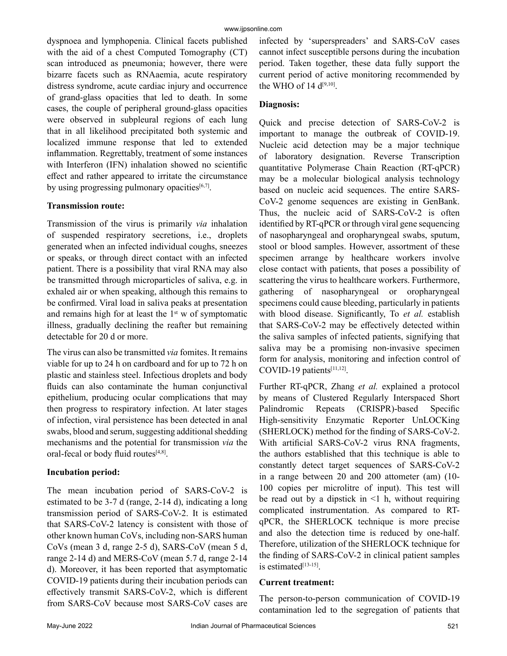dyspnoea and lymphopenia. Clinical facets published with the aid of a chest Computed Tomography (CT) scan introduced as pneumonia; however, there were bizarre facets such as RNAaemia, acute respiratory distress syndrome, acute cardiac injury and occurrence of grand-glass opacities that led to death. In some cases, the couple of peripheral ground-glass opacities were observed in subpleural regions of each lung that in all likelihood precipitated both systemic and localized immune response that led to extended inflammation. Regrettably, treatment of some instances with Interferon (IFN) inhalation showed no scientific effect and rather appeared to irritate the circumstance by using progressing pulmonary opacities $[6,7]$ .

## **Transmission route:**

Transmission of the virus is primarily *via* inhalation of suspended respiratory secretions, i.e., droplets generated when an infected individual coughs, sneezes or speaks, or through direct contact with an infected patient. There is a possibility that viral RNA may also be transmitted through microparticles of saliva, e.g. in exhaled air or when speaking, although this remains to be confirmed. Viral load in saliva peaks at presentation and remains high for at least the  $1<sup>st</sup>$  w of symptomatic illness, gradually declining the reafter but remaining detectable for 20 d or more.

The virus can also be transmitted *via* fomites. It remains viable for up to 24 h on cardboard and for up to 72 h on plastic and stainless steel. Infectious droplets and body fluids can also contaminate the human conjunctival epithelium, producing ocular complications that may then progress to respiratory infection. At later stages of infection, viral persistence has been detected in anal swabs, blood and serum, suggesting additional shedding mechanisms and the potential for transmission *via* the oral-fecal or body fluid routes<sup>[4,8]</sup>.

## **Incubation period:**

The mean incubation period of SARS-CoV-2 is estimated to be 3-7 d (range, 2-14 d), indicating a long transmission period of SARS-CoV-2. It is estimated that SARS-CoV-2 latency is consistent with those of other known human CoVs, including non-SARS human CoVs (mean 3 d, range 2-5 d), SARS-CoV (mean 5 d, range 2-14 d) and MERS-CoV (mean 5.7 d, range 2-14 d). Moreover, it has been reported that asymptomatic COVID-19 patients during their incubation periods can effectively transmit SARS-CoV-2, which is different from SARS-CoV because most SARS-CoV cases are infected by 'superspreaders' and SARS-CoV cases cannot infect susceptible persons during the incubation period. Taken together, these data fully support the current period of active monitoring recommended by the WHO of 14  $d^{[9,10]}$ .

## **Diagnosis:**

Quick and precise detection of SARS-CoV-2 is important to manage the outbreak of COVID-19. Nucleic acid detection may be a major technique of laboratory designation. Reverse Transcription quantitative Polymerase Chain Reaction (RT-qPCR) may be a molecular biological analysis technology based on nucleic acid sequences. The entire SARS-CoV-2 genome sequences are existing in GenBank. Thus, the nucleic acid of SARS-CoV-2 is often identified by RT-qPCR or through viral gene sequencing of nasopharyngeal and oropharyngeal swabs, sputum, stool or blood samples. However, assortment of these specimen arrange by healthcare workers involve close contact with patients, that poses a possibility of scattering the virus to healthcare workers. Furthermore, gathering of nasopharyngeal or oropharyngeal specimens could cause bleeding, particularly in patients with blood disease. Significantly, To *et al.* establish that SARS-CoV-2 may be effectively detected within the saliva samples of infected patients, signifying that saliva may be a promising non-invasive specimen form for analysis, monitoring and infection control of COVID-19 patients<sup>[11,12]</sup>.

Further RT-qPCR, Zhang *et al.* explained a protocol by means of Clustered Regularly Interspaced Short Palindromic Repeats (CRISPR)-based Specific High-sensitivity Enzymatic Reporter UnLOCKing (SHERLOCK) method for the finding of SARS-CoV-2. With artificial SARS-CoV-2 virus RNA fragments, the authors established that this technique is able to constantly detect target sequences of SARS-CoV-2 in a range between 20 and 200 attometer (am) (10- 100 copies per microlitre of input). This test will be read out by a dipstick in  $\leq 1$  h, without requiring complicated instrumentation. As compared to RTqPCR, the SHERLOCK technique is more precise and also the detection time is reduced by one-half. Therefore, utilization of the SHERLOCK technique for the finding of SARS-CoV-2 in clinical patient samples is estimated $[13-15]$ .

## **Current treatment:**

The person-to-person communication of COVID-19 contamination led to the segregation of patients that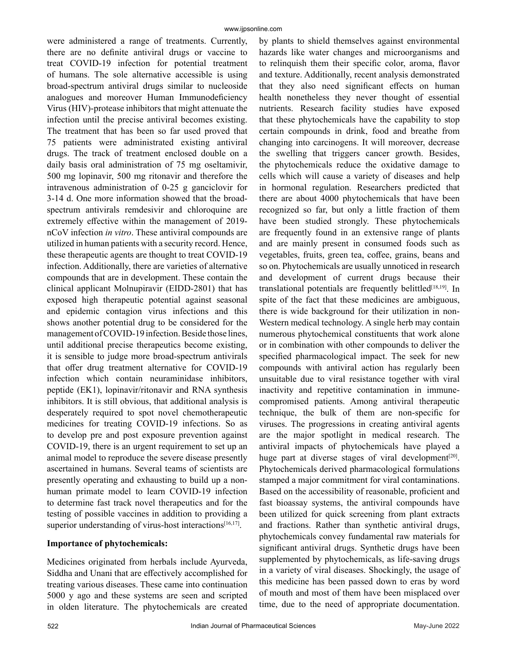were administered a range of treatments. Currently, there are no definite antiviral drugs or vaccine to treat COVID-19 infection for potential treatment of humans. The sole alternative accessible is using broad-spectrum antiviral drugs similar to nucleoside analogues and moreover Human Immunodeficiency Virus (HIV)-protease inhibitors that might attenuate the infection until the precise antiviral becomes existing. The treatment that has been so far used proved that 75 patients were administrated existing antiviral drugs. The track of treatment enclosed double on a daily basis oral administration of 75 mg oseltamivir, 500 mg lopinavir, 500 mg ritonavir and therefore the intravenous administration of 0-25 g ganciclovir for 3-14 d. One more information showed that the broadspectrum antivirals remdesivir and chloroquine are extremely effective within the management of 2019 nCoV infection *in vitro*. These antiviral compounds are utilized in human patients with a security record. Hence, these therapeutic agents are thought to treat COVID-19 infection. Additionally, there are varieties of alternative compounds that are in development. These contain the clinical applicant Molnupiravir (EIDD-2801) that has exposed high therapeutic potential against seasonal and epidemic contagion virus infections and this shows another potential drug to be considered for the management of COVID-19 infection. Beside those lines, until additional precise therapeutics become existing, it is sensible to judge more broad-spectrum antivirals that offer drug treatment alternative for COVID-19 infection which contain neuraminidase inhibitors, peptide (EK1), lopinavir/ritonavir and RNA synthesis inhibitors. It is still obvious, that additional analysis is desperately required to spot novel chemotherapeutic medicines for treating COVID-19 infections. So as to develop pre and post exposure prevention against COVID-19, there is an urgent requirement to set up an animal model to reproduce the severe disease presently ascertained in humans. Several teams of scientists are presently operating and exhausting to build up a nonhuman primate model to learn COVID-19 infection to determine fast track novel therapeutics and for the testing of possible vaccines in addition to providing a superior understanding of virus-host interactions<sup>[16,17]</sup>.

#### **Importance of phytochemicals:**

Medicines originated from herbals include Ayurveda, Siddha and Unani that are effectively accomplished for treating various diseases. These came into continuation 5000 y ago and these systems are seen and scripted in olden literature. The phytochemicals are created by plants to shield themselves against environmental hazards like water changes and microorganisms and to relinquish them their specific color, aroma, flavor and texture. Additionally, recent analysis demonstrated that they also need significant effects on human health nonetheless they never thought of essential nutrients. Research facility studies have exposed that these phytochemicals have the capability to stop certain compounds in drink, food and breathe from changing into carcinogens. It will moreover, decrease the swelling that triggers cancer growth. Besides, the phytochemicals reduce the oxidative damage to cells which will cause a variety of diseases and help in hormonal regulation. Researchers predicted that there are about 4000 phytochemicals that have been recognized so far, but only a little fraction of them have been studied strongly. These phytochemicals are frequently found in an extensive range of plants and are mainly present in consumed foods such as vegetables, fruits, green tea, coffee, grains, beans and so on. Phytochemicals are usually unnoticed in research and development of current drugs because their translational potentials are frequently belittled $[18,19]$ . In spite of the fact that these medicines are ambiguous, there is wide background for their utilization in non-Western medical technology. A single herb may contain numerous phytochemical constituents that work alone or in combination with other compounds to deliver the specified pharmacological impact. The seek for new compounds with antiviral action has regularly been unsuitable due to viral resistance together with viral inactivity and repetitive contamination in immunecompromised patients. Among antiviral therapeutic technique, the bulk of them are non-specific for viruses. The progressions in creating antiviral agents are the major spotlight in medical research. The antiviral impacts of phytochemicals have played a huge part at diverse stages of viral development<sup>[20]</sup>. Phytochemicals derived pharmacological formulations stamped a major commitment for viral contaminations. Based on the accessibility of reasonable, proficient and fast bioassay systems, the antiviral compounds have been utilized for quick screening from plant extracts and fractions. Rather than synthetic antiviral drugs, phytochemicals convey fundamental raw materials for significant antiviral drugs. Synthetic drugs have been supplemented by phytochemicals, as life-saving drugs in a variety of viral diseases. Shockingly, the usage of this medicine has been passed down to eras by word of mouth and most of them have been misplaced over time, due to the need of appropriate documentation.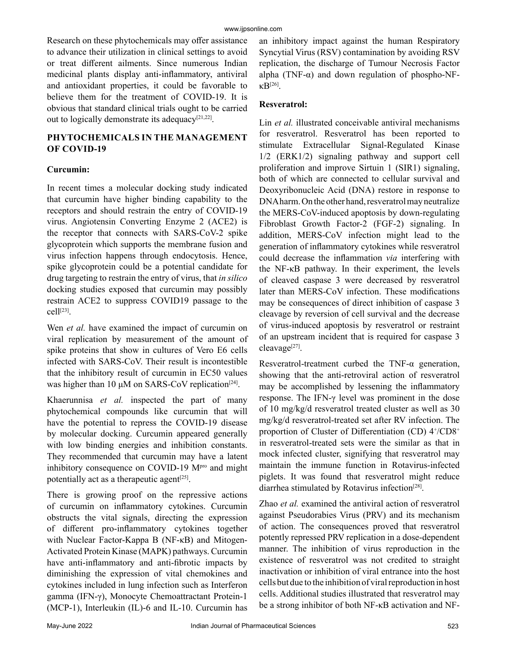Research on these phytochemicals may offer assistance to advance their utilization in clinical settings to avoid or treat different ailments. Since numerous Indian medicinal plants display anti-inflammatory, antiviral and antioxidant properties, it could be favorable to believe them for the treatment of COVID-19. It is obvious that standard clinical trials ought to be carried out to logically demonstrate its adequacy $[21,22]$ .

## **PHYTOCHEMICALS IN THE MANAGEMENT OF COVID-19**

## **Curcumin:**

In recent times a molecular docking study indicated that curcumin have higher binding capability to the receptors and should restrain the entry of COVID-19 virus. Angiotensin Converting Enzyme 2 (ACE2) is the receptor that connects with SARS-CoV-2 spike glycoprotein which supports the membrane fusion and virus infection happens through endocytosis. Hence, spike glycoprotein could be a potential candidate for drug targeting to restrain the entry of virus, that *in silico* docking studies exposed that curcumin may possibly restrain ACE2 to suppress COVID19 passage to the cell[23].

Wen *et al.* have examined the impact of curcumin on viral replication by measurement of the amount of spike proteins that show in cultures of Vero E6 cells infected with SARS-CoV. Their result is incontestible that the inhibitory result of curcumin in EC50 values was higher than 10  $\mu$ M on SARS-CoV replication<sup>[24]</sup>.

Khaerunnisa *et al.* inspected the part of many phytochemical compounds like curcumin that will have the potential to repress the COVID-19 disease by molecular docking. Curcumin appeared generally with low binding energies and inhibition constants. They recommended that curcumin may have a latent inhibitory consequence on COVID-19 M<sup>pro</sup> and might potentially act as a therapeutic agent<sup>[25]</sup>.

There is growing proof on the repressive actions of curcumin on inflammatory cytokines. Curcumin obstructs the vital signals, directing the expression of different pro-inflammatory cytokines together with Nuclear Factor-Kappa B (NF-κB) and Mitogen-Activated Protein Kinase (MAPK) pathways. Curcumin have anti-inflammatory and anti-fibrotic impacts by diminishing the expression of vital chemokines and cytokines included in lung infection such as Interferon gamma (IFN-γ), Monocyte Chemoattractant Protein-1 (MCP-1), Interleukin (IL)-6 and IL-10. Curcumin has an inhibitory impact against the human Respiratory Syncytial Virus (RSV) contamination by avoiding RSV replication, the discharge of Tumour Necrosis Factor alpha (TNF- $\alpha$ ) and down regulation of phospho-NFκB[26].

#### **Resveratrol:**

Lin *et al.* illustrated conceivable antiviral mechanisms for resveratrol. Resveratrol has been reported to stimulate Extracellular Signal-Regulated Kinase 1/2 (ERK1/2) signaling pathway and support cell proliferation and improve Sirtuin 1 (SIR1) signaling, both of which are connected to cellular survival and Deoxyribonucleic Acid (DNA) restore in response to DNA harm. On the other hand, resveratrol may neutralize the MERS-CoV-induced apoptosis by down-regulating Fibroblast Growth Factor-2 (FGF-2) signaling. In addition, MERS-CoV infection might lead to the generation of inflammatory cytokines while resveratrol could decrease the inflammation *via* interfering with the NF-κB pathway. In their experiment, the levels of cleaved caspase 3 were decreased by resveratrol later than MERS-CoV infection. These modifications may be consequences of direct inhibition of caspase 3 cleavage by reversion of cell survival and the decrease of virus-induced apoptosis by resveratrol or restraint of an upstream incident that is required for caspase 3 cleavage[27].

Resveratrol-treatment curbed the TNF-α generation, showing that the anti-retroviral action of resveratrol may be accomplished by lessening the inflammatory response. The IFN-γ level was prominent in the dose of 10 mg/kg/d resveratrol treated cluster as well as 30 mg/kg/d resveratrol-treated set after RV infection. The proportion of Cluster of Differentiation (CD) 4+/CD8+ in resveratrol-treated sets were the similar as that in mock infected cluster, signifying that resveratrol may maintain the immune function in Rotavirus-infected piglets. It was found that resveratrol might reduce diarrhea stimulated by Rotavirus infection<sup>[28]</sup>.

Zhao *et al.* examined the antiviral action of resveratrol against Pseudorabies Virus (PRV) and its mechanism of action. The consequences proved that resveratrol potently repressed PRV replication in a dose-dependent manner. The inhibition of virus reproduction in the existence of resveratrol was not credited to straight inactivation or inhibition of viral entrance into the host cells but due to the inhibition of viral reproduction in host cells. Additional studies illustrated that resveratrol may be a strong inhibitor of both NF-κB activation and NF-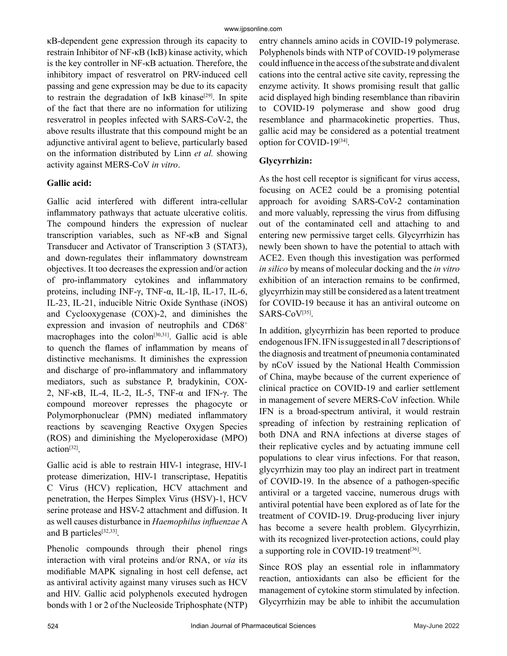κB-dependent gene expression through its capacity to restrain Inhibitor of NF-κB (IκB) kinase activity, which is the key controller in NF-κB actuation. Therefore, the inhibitory impact of resveratrol on PRV-induced cell passing and gene expression may be due to its capacity to restrain the degradation of IKB kinase<sup>[29]</sup>. In spite of the fact that there are no information for utilizing resveratrol in peoples infected with SARS-CoV-2, the above results illustrate that this compound might be an adjunctive antiviral agent to believe, particularly based on the information distributed by Linn *et al.* showing activity against MERS-CoV *in vitro*.

## **Gallic acid:**

Gallic acid interfered with different intra-cellular inflammatory pathways that actuate ulcerative colitis. The compound hinders the expression of nuclear transcription variables, such as NF-κB and Signal Transducer and Activator of Transcription 3 (STAT3), and down-regulates their inflammatory downstream objectives. It too decreases the expression and/or action of pro-inflammatory cytokines and inflammatory proteins, including INF-γ, TNF-α, IL-1β, IL-17, IL-6, IL-23, IL-21, inducible Nitric Oxide Synthase (iNOS) and Cyclooxygenase (COX)-2, and diminishes the expression and invasion of neutrophils and CD68<sup>+</sup> macrophages into the colon<sup>[30,31]</sup>. Gallic acid is able to quench the flames of inflammation by means of distinctive mechanisms. It diminishes the expression and discharge of pro-inflammatory and inflammatory mediators, such as substance P, bradykinin, COX-2, NF- $κ$ B, IL-4, IL-2, IL-5, TNF- $α$  and IFN- $γ$ . The compound moreover represses the phagocyte or Polymorphonuclear (PMN) mediated inflammatory reactions by scavenging Reactive Oxygen Species (ROS) and diminishing the Myeloperoxidase (MPO) action[32].

Gallic acid is able to restrain HIV-1 integrase, HIV-1 protease dimerization, HIV-1 transcriptase, Hepatitis C Virus (HCV) replication, HCV attachment and penetration, the Herpes Simplex Virus (HSV)-1, HCV serine protease and HSV-2 attachment and diffusion. It as well causes disturbance in *Haemophilus influenzae* A and B particles<sup>[32,33]</sup>.

Phenolic compounds through their phenol rings interaction with viral proteins and/or RNA, or *via* its modifiable MAPK signaling in host cell defense, act as antiviral activity against many viruses such as HCV and HIV. Gallic acid polyphenols executed hydrogen bonds with 1 or 2 of the Nucleoside Triphosphate (NTP) entry channels amino acids in COVID-19 polymerase. Polyphenols binds with NTP of COVID-19 polymerase could influence in the access of the substrate and divalent cations into the central active site cavity, repressing the enzyme activity. It shows promising result that gallic acid displayed high binding resemblance than ribavirin to COVID-19 polymerase and show good drug resemblance and pharmacokinetic properties. Thus, gallic acid may be considered as a potential treatment option for COVID-19[34].

## **Glycyrrhizin:**

As the host cell receptor is significant for virus access, focusing on ACE2 could be a promising potential approach for avoiding SARS-CoV-2 contamination and more valuably, repressing the virus from diffusing out of the contaminated cell and attaching to and entering new permissive target cells. Glycyrrhizin has newly been shown to have the potential to attach with ACE2. Even though this investigation was performed *in silico* by means of molecular docking and the *in vitro* exhibition of an interaction remains to be confirmed, glycyrrhizin may still be considered as a latent treatment for COVID-19 because it has an antiviral outcome on SARS-CoV<sup>[35]</sup>.

In addition, glycyrrhizin has been reported to produce endogenous IFN. IFN is suggested in all 7 descriptions of the diagnosis and treatment of pneumonia contaminated by nCoV issued by the National Health Commission of China, maybe because of the current experience of clinical practice on COVID-19 and earlier settlement in management of severe MERS-CoV infection. While IFN is a broad-spectrum antiviral, it would restrain spreading of infection by restraining replication of both DNA and RNA infections at diverse stages of their replicative cycles and by actuating immune cell populations to clear virus infections. For that reason, glycyrrhizin may too play an indirect part in treatment of COVID-19. In the absence of a pathogen-specific antiviral or a targeted vaccine, numerous drugs with antiviral potential have been explored as of late for the treatment of COVID-19. Drug-producing liver injury has become a severe health problem. Glycyrrhizin, with its recognized liver-protection actions, could play a supporting role in COVID-19 treatment<sup>[36]</sup>.

Since ROS play an essential role in inflammatory reaction, antioxidants can also be efficient for the management of cytokine storm stimulated by infection. Glycyrrhizin may be able to inhibit the accumulation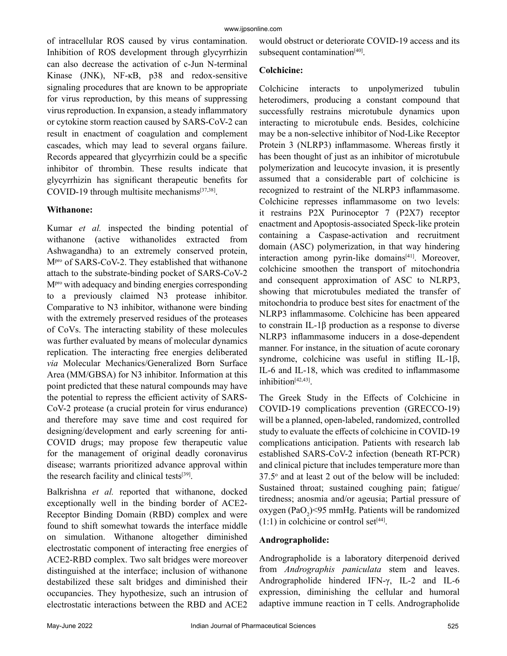of intracellular ROS caused by virus contamination. Inhibition of ROS development through glycyrrhizin can also decrease the activation of c-Jun N-terminal Kinase (JNK), NF-κB, p38 and redox-sensitive signaling procedures that are known to be appropriate for virus reproduction, by this means of suppressing virus reproduction. In expansion, a steady inflammatory or cytokine storm reaction caused by SARS-CoV-2 can result in enactment of coagulation and complement cascades, which may lead to several organs failure. Records appeared that glycyrrhizin could be a specific inhibitor of thrombin. These results indicate that glycyrrhizin has significant therapeutic benefits for COVID-19 through multisite mechanisms[37,38].

#### **Withanone:**

Kumar *et al.* inspected the binding potential of withanone (active withanolides extracted from Ashwagandha) to an extremely conserved protein, M<sup>pro</sup> of SARS-CoV-2. They established that withanone attach to the substrate-binding pocket of SARS-CoV-2 Mpro with adequacy and binding energies corresponding to a previously claimed N3 protease inhibitor. Comparative to N3 inhibitor, withanone were binding with the extremely preserved residues of the proteases of CoVs. The interacting stability of these molecules was further evaluated by means of molecular dynamics replication. The interacting free energies deliberated *via* Molecular Mechanics/Generalized Born Surface Area (MM/GBSA) for N3 inhibitor. Information at this point predicted that these natural compounds may have the potential to repress the efficient activity of SARS-CoV-2 protease (a crucial protein for virus endurance) and therefore may save time and cost required for designing/development and early screening for anti-COVID drugs; may propose few therapeutic value for the management of original deadly coronavirus disease; warrants prioritized advance approval within the research facility and clinical tests[39].

Balkrishna *et al.* reported that withanone, docked exceptionally well in the binding border of ACE2- Receptor Binding Domain (RBD) complex and were found to shift somewhat towards the interface middle on simulation. Withanone altogether diminished electrostatic component of interacting free energies of ACE2-RBD complex. Two salt bridges were moreover distinguished at the interface; inclusion of withanone destabilized these salt bridges and diminished their occupancies. They hypothesize, such an intrusion of electrostatic interactions between the RBD and ACE2 would obstruct or deteriorate COVID-19 access and its subsequent contamination<sup>[40]</sup>.

## **Colchicine:**

Colchicine interacts to unpolymerized tubulin heterodimers, producing a constant compound that successfully restrains microtubule dynamics upon interacting to microtubule ends. Besides, colchicine may be a non-selective inhibitor of Nod-Like Receptor Protein 3 (NLRP3) inflammasome. Whereas firstly it has been thought of just as an inhibitor of microtubule polymerization and leucocyte invasion, it is presently assumed that a considerable part of colchicine is recognized to restraint of the NLRP3 inflammasome. Colchicine represses inflammasome on two levels: it restrains P2X Purinoceptor 7 (P2X7) receptor enactment and Apoptosis-associated Speck-like protein containing a Caspase-activation and recruitment domain (ASC) polymerization, in that way hindering interaction among pyrin-like domains<sup>[41]</sup>. Moreover, colchicine smoothen the transport of mitochondria and consequent approximation of ASC to NLRP3, showing that microtubules mediated the transfer of mitochondria to produce best sites for enactment of the NLRP3 inflammasome. Colchicine has been appeared to constrain IL-1β production as a response to diverse NLRP3 inflammasome inducers in a dose-dependent manner. For instance, in the situation of acute coronary syndrome, colchicine was useful in stifling IL-1β, IL-6 and IL-18, which was credited to inflammasome inhibition[42,43].

The Greek Study in the Effects of Colchicine in COVID-19 complications prevention (GRECCO-19) will be a planned, open-labeled, randomized, controlled study to evaluate the effects of colchicine in COVID-19 complications anticipation. Patients with research lab established SARS-CoV-2 infection (beneath RT-PCR) and clinical picture that includes temperature more than  $37.5^\circ$  and at least 2 out of the below will be included: Sustained throat; sustained coughing pain; fatigue/ tiredness; anosmia and/or ageusia; Partial pressure of oxygen (PaO<sub>2</sub>)<95 mmHg. Patients will be randomized  $(1:1)$  in colchicine or control set<sup>[44]</sup>.

#### **Andrographolide:**

Andrographolide is a laboratory diterpenoid derived from *Andrographis paniculata* stem and leaves. Andrographolide hindered IFN-γ, IL-2 and IL-6 expression, diminishing the cellular and humoral adaptive immune reaction in T cells. Andrographolide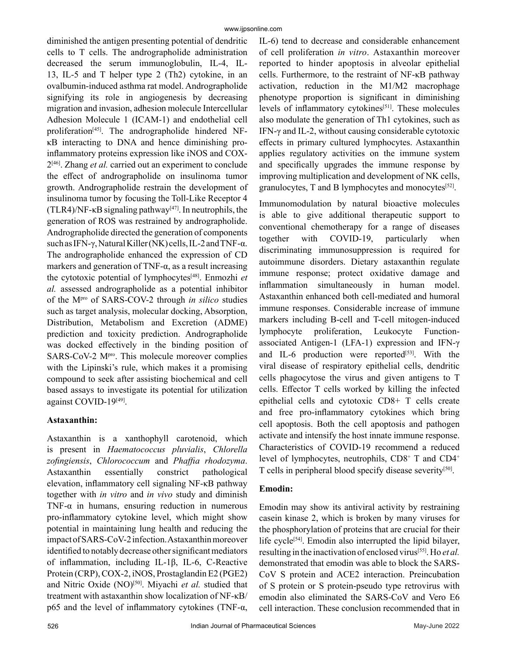diminished the antigen presenting potential of dendritic cells to T cells. The andrographolide administration decreased the serum immunoglobulin, IL-4, IL-13, IL-5 and T helper type 2 (Th2) cytokine, in an ovalbumin-induced asthma rat model. Andrographolide signifying its role in angiogenesis by decreasing migration and invasion, adhesion molecule Intercellular Adhesion Molecule 1 (ICAM-1) and endothelial cell proliferation<sup>[45]</sup>. The andrographolide hindered NFκB interacting to DNA and hence diminishing proinflammatory proteins expression like iNOS and COX-2[46]. Zhang *et al.* carried out an experiment to conclude the effect of andrographolide on insulinoma tumor growth. Andrographolide restrain the development of insulinoma tumor by focusing the Toll-Like Receptor 4 (TLR4)/NF- $\kappa$ B signaling pathway<sup>[47]</sup>. In neutrophils, the generation of ROS was restrained by andrographolide. Andrographolide directed the generation of components such as IFN-γ, Natural Killer (NK) cells, IL-2 and TNF-α. The andrographolide enhanced the expression of CD markers and generation of TNF-α, as a result increasing the cytotoxic potential of lymphocytes[48]. Enmozhi *et al.* assessed andrographolide as a potential inhibitor of the Mpro of SARS-COV-2 through *in silico* studies such as target analysis, molecular docking, Absorption, Distribution, Metabolism and Excretion (ADME) prediction and toxicity prediction. Andrographolide was docked effectively in the binding position of SARS-CoV-2 M<sup>pro</sup>. This molecule moreover complies with the Lipinski's rule, which makes it a promising compound to seek after assisting biochemical and cell based assays to investigate its potential for utilization against COVID-19<sup>[49]</sup>.

## **Astaxanthin:**

Astaxanthin is a xanthophyll carotenoid, which is present in *Haematococcus pluvialis*, *Chlorella zofingiensis*, *Chlorococcum* and *Phaffia rhodozyma*. Astaxanthin essentially constrict pathological elevation, inflammatory cell signaling NF-κB pathway together with *in vitro* and *in vivo* study and diminish TNF- $\alpha$  in humans, ensuring reduction in numerous pro-inflammatory cytokine level, which might show potential in maintaining lung health and reducing the impact of SARS-CoV-2 infection. Astaxanthin moreover identified to notably decrease other significant mediators of inflammation, including IL-1β, IL-6, C-Reactive Protein (CRP), COX-2, iNOS, Prostaglandin E2 (PGE2) and Nitric Oxide (NO)<sup>[50]</sup>. Miyachi *et al.* studied that treatment with astaxanthin show localization of NF-κB/ p65 and the level of inflammatory cytokines (TNF- $α$ ,

IL-6) tend to decrease and considerable enhancement of cell proliferation *in vitro*. Astaxanthin moreover reported to hinder apoptosis in alveolar epithelial cells. Furthermore, to the restraint of NF-κB pathway activation, reduction in the M1/M2 macrophage phenotype proportion is significant in diminishing levels of inflammatory cytokines<sup>[51]</sup>. These molecules also modulate the generation of Th1 cytokines, such as IFN-γ and IL-2, without causing considerable cytotoxic effects in primary cultured lymphocytes. Astaxanthin applies regulatory activities on the immune system and specifically upgrades the immune response by improving multiplication and development of NK cells, granulocytes, T and B lymphocytes and monocytes $[52]$ .

Immunomodulation by natural bioactive molecules is able to give additional therapeutic support to conventional chemotherapy for a range of diseases together with COVID-19, particularly when discriminating immunosuppression is required for autoimmune disorders. Dietary astaxanthin regulate immune response; protect oxidative damage and inflammation simultaneously in human model. Astaxanthin enhanced both cell-mediated and humoral immune responses. Considerable increase of immune markers including B-cell and T-cell mitogen-induced lymphocyte proliferation, Leukocyte Functionassociated Antigen-1 (LFA-1) expression and IFN-γ and IL-6 production were reported $[53]$ . With the viral disease of respiratory epithelial cells, dendritic cells phagocytose the virus and given antigens to T cells. Effector T cells worked by killing the infected epithelial cells and cytotoxic CD8+ T cells create and free pro-inflammatory cytokines which bring cell apoptosis. Both the cell apoptosis and pathogen activate and intensify the host innate immune response. Characteristics of COVID-19 recommend a reduced level of lymphocytes, neutrophils, CD8<sup>+</sup> T and CD4<sup>+</sup> T cells in peripheral blood specify disease severity[50].

## **Emodin:**

Emodin may show its antiviral activity by restraining casein kinase 2, which is broken by many viruses for the phosphorylation of proteins that are crucial for their life cycle<sup>[54]</sup>. Emodin also interrupted the lipid bilayer, resulting in the inactivation of enclosed virus[55]. Ho *et al.* demonstrated that emodin was able to block the SARS-CoV S protein and ACE2 interaction. Preincubation of S protein or S protein-pseudo type retrovirus with emodin also eliminated the SARS-CoV and Vero E6 cell interaction. These conclusion recommended that in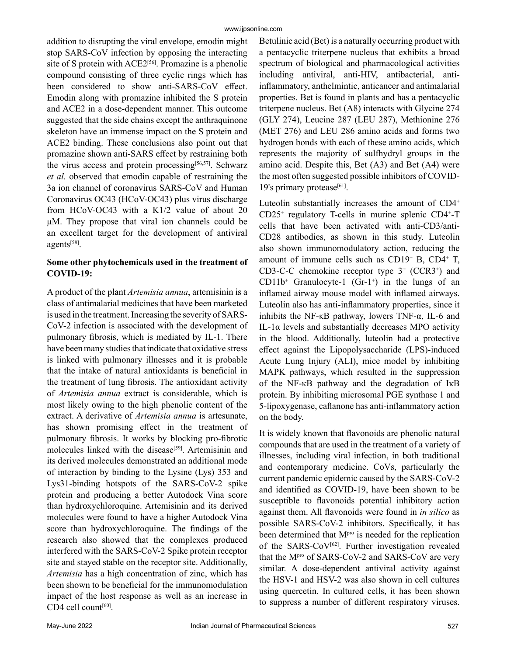addition to disrupting the viral envelope, emodin might stop SARS-CoV infection by opposing the interacting site of S protein with ACE2<sup>[56]</sup>. Promazine is a phenolic compound consisting of three cyclic rings which has been considered to show anti-SARS-CoV effect. Emodin along with promazine inhibited the S protein and ACE2 in a dose-dependent manner. This outcome suggested that the side chains except the anthraquinone skeleton have an immense impact on the S protein and ACE2 binding. These conclusions also point out that promazine shown anti-SARS effect by restraining both the virus access and protein processing<sup>[56,57]</sup>. Schwarz *et al.* observed that emodin capable of restraining the 3a ion channel of coronavirus SARS-CoV and Human Coronavirus OC43 (HCoV-OC43) plus virus discharge from HCoV-OC43 with a K1/2 value of about 20 μM. They propose that viral ion channels could be an excellent target for the development of antiviral agents[58].

## **Some other phytochemicals used in the treatment of COVID-19:**

A product of the plant *Artemisia annua*, artemisinin is a class of antimalarial medicines that have been marketed is used in the treatment. Increasing the severity of SARS-CoV-2 infection is associated with the development of pulmonary fibrosis, which is mediated by IL-1. There have been many studies that indicate that oxidative stress is linked with pulmonary illnesses and it is probable that the intake of natural antioxidants is beneficial in the treatment of lung fibrosis. The antioxidant activity of *Artemisia annua* extract is considerable, which is most likely owing to the high phenolic content of the extract. A derivative of *Artemisia annua* is artesunate, has shown promising effect in the treatment of pulmonary fibrosis. It works by blocking pro-fibrotic molecules linked with the disease<sup>[59]</sup>. Artemisinin and its derived molecules demonstrated an additional mode of interaction by binding to the Lysine (Lys) 353 and Lys31-binding hotspots of the SARS-CoV-2 spike protein and producing a better Autodock Vina score than hydroxychloroquine. Artemisinin and its derived molecules were found to have a higher Autodock Vina score than hydroxychloroquine. The findings of the research also showed that the complexes produced interfered with the SARS-CoV-2 Spike protein receptor site and stayed stable on the receptor site. Additionally, *Artemisia* has a high concentration of zinc, which has been shown to be beneficial for the immunomodulation impact of the host response as well as an increase in CD4 cell count<sup>[60]</sup>.

Betulinic acid (Bet) is a naturally occurring product with a pentacyclic triterpene nucleus that exhibits a broad spectrum of biological and pharmacological activities including antiviral, anti-HIV, antibacterial, antiinflammatory, anthelmintic, anticancer and antimalarial properties. Bet is found in plants and has a pentacyclic triterpene nucleus. Bet (A8) interacts with Glycine 274 (GLY 274), Leucine 287 (LEU 287), Methionine 276 (MET 276) and LEU 286 amino acids and forms two hydrogen bonds with each of these amino acids, which represents the majority of sulfhydryl groups in the amino acid. Despite this, Bet (A3) and Bet (A4) were the most often suggested possible inhibitors of COVID-19's primary protease<sup>[61]</sup>.

Luteolin substantially increases the amount of CD4<sup>+</sup> CD25<sup>+</sup> regulatory T-cells in murine splenic CD4<sup>+</sup> -T cells that have been activated with anti-CD3/anti-CD28 antibodies, as shown in this study. Luteolin also shown immunomodulatory action, reducing the amount of immune cells such as CD19<sup>+</sup> B, CD4<sup>+</sup> T, CD3-C-C chemokine receptor type  $3^+$  (CCR3<sup>+</sup>) and  $CD11b<sup>+</sup>$  Granulocyte-1 (Gr-1<sup>+</sup>) in the lungs of an inflamed airway mouse model with inflamed airways. Luteolin also has anti-inflammatory properties, since it inhibits the NF- $\kappa$ B pathway, lowers TNF- $\alpha$ , IL-6 and IL-1α levels and substantially decreases MPO activity in the blood. Additionally, luteolin had a protective effect against the Lipopolysaccharide (LPS)-induced Acute Lung Injury (ALI), mice model by inhibiting MAPK pathways, which resulted in the suppression of the NF-κB pathway and the degradation of IκB protein. By inhibiting microsomal PGE synthase 1 and 5-lipoxygenase, caflanone has anti-inflammatory action on the body.

It is widely known that flavonoids are phenolic natural compounds that are used in the treatment of a variety of illnesses, including viral infection, in both traditional and contemporary medicine. CoVs, particularly the current pandemic epidemic caused by the SARS-CoV-2 and identified as COVID-19, have been shown to be susceptible to flavonoids potential inhibitory action against them. All flavonoids were found in *in silico* as possible SARS-CoV-2 inhibitors. Specifically, it has been determined that M<sup>pro</sup> is needed for the replication of the SARS-CoV<sup>[62]</sup>. Further investigation revealed that the Mpro of SARS-CoV-2 and SARS-CoV are very similar. A dose-dependent antiviral activity against the HSV-1 and HSV-2 was also shown in cell cultures using quercetin. In cultured cells, it has been shown to suppress a number of different respiratory viruses.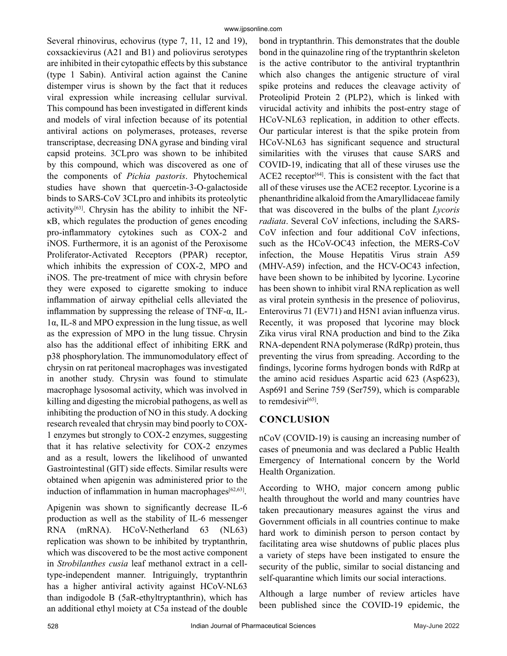Several rhinovirus, echovirus (type 7, 11, 12 and 19), coxsackievirus (A21 and B1) and poliovirus serotypes are inhibited in their cytopathic effects by this substance (type 1 Sabin). Antiviral action against the Canine distemper virus is shown by the fact that it reduces viral expression while increasing cellular survival. This compound has been investigated in different kinds and models of viral infection because of its potential antiviral actions on polymerases, proteases, reverse transcriptase, decreasing DNA gyrase and binding viral capsid proteins. 3CLpro was shown to be inhibited by this compound, which was discovered as one of the components of *Pichia pastoris*. Phytochemical studies have shown that quercetin-3-O-galactoside binds to SARS-CoV 3CLpro and inhibits its proteolytic activity $[63]$ . Chrysin has the ability to inhibit the NFκB, which regulates the production of genes encoding pro-inflammatory cytokines such as COX-2 and iNOS. Furthermore, it is an agonist of the Peroxisome Proliferator-Activated Receptors (PPAR) receptor, which inhibits the expression of COX-2, MPO and iNOS. The pre-treatment of mice with chrysin before they were exposed to cigarette smoking to induce inflammation of airway epithelial cells alleviated the inflammation by suppressing the release of TNF- $\alpha$ , IL-1α, IL-8 and MPO expression in the lung tissue, as well as the expression of MPO in the lung tissue. Chrysin also has the additional effect of inhibiting ERK and p38 phosphorylation. The immunomodulatory effect of chrysin on rat peritoneal macrophages was investigated in another study. Chrysin was found to stimulate macrophage lysosomal activity, which was involved in killing and digesting the microbial pathogens, as well as inhibiting the production of NO in this study. A docking research revealed that chrysin may bind poorly to COX-1 enzymes but strongly to COX-2 enzymes, suggesting that it has relative selectivity for COX-2 enzymes and as a result, lowers the likelihood of unwanted Gastrointestinal (GIT) side effects. Similar results were obtained when apigenin was administered prior to the induction of inflammation in human macrophages $[62, 63]$ .

Apigenin was shown to significantly decrease IL-6 production as well as the stability of IL-6 messenger RNA (mRNA). HCoV-Netherland 63 (NL63) replication was shown to be inhibited by tryptanthrin, which was discovered to be the most active component in *Strobilanthes cusia* leaf methanol extract in a celltype-independent manner. Intriguingly, tryptanthrin has a higher antiviral activity against HCoV-NL63 than indigodole B (5aR-ethyltryptanthrin), which has an additional ethyl moiety at C5a instead of the double bond in tryptanthrin. This demonstrates that the double bond in the quinazoline ring of the tryptanthrin skeleton is the active contributor to the antiviral tryptanthrin which also changes the antigenic structure of viral spike proteins and reduces the cleavage activity of Proteolipid Protein 2 (PLP2), which is linked with virucidal activity and inhibits the post-entry stage of HCoV-NL63 replication, in addition to other effects. Our particular interest is that the spike protein from HCoV-NL63 has significant sequence and structural similarities with the viruses that cause SARS and COVID-19, indicating that all of these viruses use the ACE2 receptor<sup>[64]</sup>. This is consistent with the fact that all of these viruses use the ACE2 receptor. Lycorine is a phenanthridine alkaloid from the Amaryllidaceae family that was discovered in the bulbs of the plant *Lycoris radiata*. Several CoV infections, including the SARS-CoV infection and four additional CoV infections, such as the HCoV-OC43 infection, the MERS-CoV infection, the Mouse Hepatitis Virus strain A59 (MHV-A59) infection, and the HCV-OC43 infection, have been shown to be inhibited by lycorine. Lycorine has been shown to inhibit viral RNA replication as well as viral protein synthesis in the presence of poliovirus, Enterovirus 71 (EV71) and H5N1 avian influenza virus. Recently, it was proposed that lycorine may block Zika virus viral RNA production and bind to the Zika RNA-dependent RNA polymerase (RdRp) protein, thus preventing the virus from spreading. According to the findings, lycorine forms hydrogen bonds with RdRp at the amino acid residues Aspartic acid 623 (Asp623), Asp691 and Serine 759 (Ser759), which is comparable to remdesivir<sup>[65]</sup>.

## **CONCLUSION**

nCoV (COVID-19) is causing an increasing number of cases of pneumonia and was declared a Public Health Emergency of International concern by the World Health Organization.

According to WHO, major concern among public health throughout the world and many countries have taken precautionary measures against the virus and Government officials in all countries continue to make hard work to diminish person to person contact by facilitating area wise shutdowns of public places plus a variety of steps have been instigated to ensure the security of the public, similar to social distancing and self-quarantine which limits our social interactions.

Although a large number of review articles have been published since the COVID-19 epidemic, the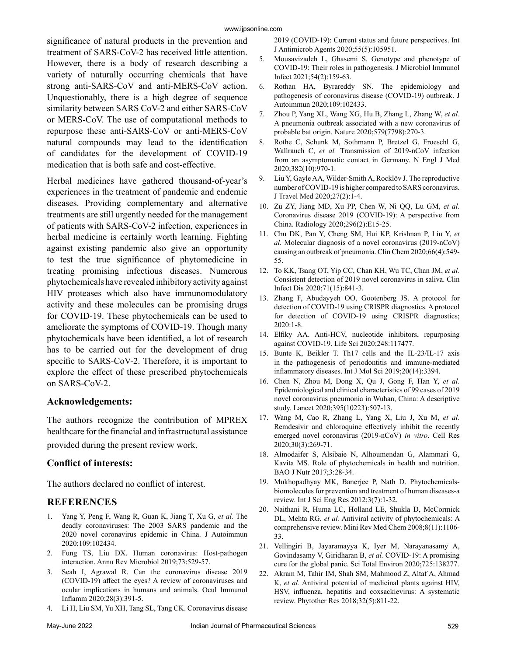#### www.ijpsonline.com

significance of natural products in the prevention and treatment of SARS-CoV-2 has received little attention. However, there is a body of research describing a variety of naturally occurring chemicals that have strong anti-SARS-CoV and anti-MERS-CoV action. Unquestionably, there is a high degree of sequence similarity between SARS CoV-2 and either SARS-CoV or MERS-CoV. The use of computational methods to repurpose these anti-SARS-CoV or anti-MERS-CoV natural compounds may lead to the identification of candidates for the development of COVID-19 medication that is both safe and cost-effective.

Herbal medicines have gathered thousand-of-year's experiences in the treatment of pandemic and endemic diseases. Providing complementary and alternative treatments are still urgently needed for the management of patients with SARS-CoV-2 infection, experiences in herbal medicine is certainly worth learning. Fighting against existing pandemic also give an opportunity to test the true significance of phytomedicine in treating promising infectious diseases. Numerous phytochemicals have revealed inhibitory activity against HIV proteases which also have immunomodulatory activity and these molecules can be promising drugs for COVID-19. These phytochemicals can be used to ameliorate the symptoms of COVID-19. Though many phytochemicals have been identified, a lot of research has to be carried out for the development of drug specific to SARS-CoV-2. Therefore, it is important to explore the effect of these prescribed phytochemicals on SARS-CoV-2.

## **Acknowledgements:**

The authors recognize the contribution of MPREX healthcare for the financial and infrastructural assistance provided during the present review work.

## **Conflict of interests:**

The authors declared no conflict of interest.

## **REFERENCES**

- 1. Yang Y, Peng F, Wang R, Guan K, Jiang T, Xu G, *et al.* [The](https://www.sciencedirect.com/science/article/abs/pii/S0896841120300470?via%3Dihub)  [deadly coronaviruses: The 2003 SARS pandemic and the](https://www.sciencedirect.com/science/article/abs/pii/S0896841120300470?via%3Dihub)  [2020 novel coronavirus epidemic in China.](https://www.sciencedirect.com/science/article/abs/pii/S0896841120300470?via%3Dihub) J Autoimmun 2020;109:102434.
- 2. Fung TS, Liu DX. [Human coronavirus: Host-pathogen](https://www.annualreviews.org/doi/10.1146/annurev-micro-020518-115759)  [interaction](https://www.annualreviews.org/doi/10.1146/annurev-micro-020518-115759). Annu Rev Microbiol 2019;73:529-57.
- Seah I, Agrawal R. Can the coronavirus disease 2019 [\(COVID-19\) affect the eyes? A review of coronaviruses and](https://www.tandfonline.com/doi/full/10.1080/09273948.2020.1738501)  [ocular implications in humans and animals](https://www.tandfonline.com/doi/full/10.1080/09273948.2020.1738501). Ocul Immunol Inflamm 2020;28(3):391-5.
- 4. Li H, Liu SM, Yu XH, Tang SL, Tang CK. [Coronavirus disease](https://www.sciencedirect.com/science/article/pii/S0924857920301011?via%3Dihub)

[2019 \(COVID-19\): Current status and future perspectives](https://www.sciencedirect.com/science/article/pii/S0924857920301011?via%3Dihub). Int J Antimicrob Agents 2020;55(5):105951.

- 5. Mousavizadeh L, Ghasemi S. [Genotype and phenotype of](https://www.sciencedirect.com/science/article/pii/S1684118220300827?via%3Dihub) [COVID-19: Their roles in pathogenesis.](https://www.sciencedirect.com/science/article/pii/S1684118220300827?via%3Dihub) J Microbiol Immunol Infect 2021;54(2):159-63.
- 6. Rothan HA, Byrareddy SN. [The epidemiology and](https://www.sciencedirect.com/science/article/pii/S0896841120300469?via%3Dihub) [pathogenesis of coronavirus disease \(COVID-19\) outbreak.](https://www.sciencedirect.com/science/article/pii/S0896841120300469?via%3Dihub) J Autoimmun 2020;109:102433.
- 7. Zhou P, Yang XL, Wang XG, Hu B, Zhang L, Zhang W, *et al.* [A pneumonia outbreak associated with a new coronavirus of](https://www.nature.com/articles/s41586-020-2951-z) [probable bat origin.](https://www.nature.com/articles/s41586-020-2951-z) Nature 2020;579(7798):270-3.
- 8. Rothe C, Schunk M, Sothmann P, Bretzel G, Froeschl G, Wallrauch C, *et al.* [Transmission of 2019-nCoV infection](https://www.nejm.org/doi/10.1056/NEJMc2001468) [from an asymptomatic contact in Germany.](https://www.nejm.org/doi/10.1056/NEJMc2001468) N Engl J Med 2020;382(10):970-1.
- 9. Liu Y, Gayle AA, Wilder-Smith A, Rocklöv J. [The reproductive](https://academic.oup.com/jtm/article/27/2/taaa021/5735319) [number of COVID-19 is higher compared to SARS coronavirus](https://academic.oup.com/jtm/article/27/2/taaa021/5735319). J Travel Med 2020;27(2):1-4.
- 10. Zu ZY, Jiang MD, Xu PP, Chen W, Ni QQ, Lu GM, *et al.* [Coronavirus disease 2019 \(COVID-19\): A perspective from](https://pubs.rsna.org/doi/10.1148/radiol.2020200490) [China.](https://pubs.rsna.org/doi/10.1148/radiol.2020200490) Radiology 2020;296(2):E15-25.
- 11. Chu DK, Pan Y, Cheng SM, Hui KP, Krishnan P, Liu Y, *et al.* [Molecular diagnosis of a novel coronavirus \(2019-nCoV\)](https://academic.oup.com/clinchem/article/66/4/549/5719336?login=false) [causing an outbreak of pneumonia](https://academic.oup.com/clinchem/article/66/4/549/5719336?login=false). Clin Chem 2020;66(4):549- 55.
- 12. To KK, Tsang OT, Yip CC, Chan KH, Wu TC, Chan JM, *et al.* [Consistent detection of 2019 novel coronavirus in saliva](https://academic.oup.com/cid/article/71/15/841/5734265?login=false). Clin Infect Dis 2020;71(15):841-3.
- 13. Zhang F, Abudayyeh OO, Gootenberg JS. [A protocol for](https://www.synthego.com/publications/a-protocol-for-detection-of-covid-19-using-crispr-diagnostics) [detection of COVID-19 using CRISPR diagnostics](https://www.synthego.com/publications/a-protocol-for-detection-of-covid-19-using-crispr-diagnostics). A protocol for detection of COVID-19 using CRISPR diagnostics; 2020:1-8.
- 14. Elfiky AA. [Anti-HCV, nucleotide inhibitors, repurposing](https://www.sciencedirect.com/science/article/pii/S0024320520302253?via%3Dihub) [against COVID-19](https://www.sciencedirect.com/science/article/pii/S0024320520302253?via%3Dihub). Life Sci 2020;248:117477.
- 15. Bunte K, Beikler T. [Th17 cells and the IL-23/IL-17 axis](https://www.mdpi.com/1422-0067/20/14/3394) [in the pathogenesis of periodontitis and immune-mediated](https://www.mdpi.com/1422-0067/20/14/3394) [inflammatory diseases](https://www.mdpi.com/1422-0067/20/14/3394). Int J Mol Sci 2019;20(14):3394.
- 16. Chen N, Zhou M, Dong X, Qu J, Gong F, Han Y, *et al.* [Epidemiological and clinical characteristics of 99 cases of 2019](https://www.thelancet.com/journals/lancet/article/PIIS0140-6736(20)30211-7/fulltext) [novel coronavirus pneumonia in Wuhan, China: A descriptive](https://www.thelancet.com/journals/lancet/article/PIIS0140-6736(20)30211-7/fulltext) [study](https://www.thelancet.com/journals/lancet/article/PIIS0140-6736(20)30211-7/fulltext). Lancet 2020;395(10223):507-13.
- 17. Wang M, Cao R, Zhang L, Yang X, Liu J, Xu M, *et al.* [Remdesivir and chloroquine effectively inhibit the recently](https://www.nature.com/articles/s41422-020-0282-0) [emerged novel coronavirus \(2019-nCoV\)](https://www.nature.com/articles/s41422-020-0282-0) *in vitro*. Cell Res 2020;30(3):269-71.
- 18. Almodaifer S, Alsibaie N, Alhoumendan G, Alammari G, Kavita MS. [Role of phytochemicals in health and nutrition](https://www.semanticscholar.org/paper/Role-of-Phytochemicals-in-Health-and-Nutrition-Almodaifer-Alsibaie/7d4e46924bd58253a60968889138252d20622873). BAO J Nutr 2017;3:28-34.
- 19. Mukhopadhyay MK, Banerjee P, Nath D. [Phytochemicals](https://www.ijser.org/paper/Phytochemicals-biomolecules-for-prevention-and-treatment-of-human-diseases-a-review.html)[biomolecules for prevention and treatment of human diseases-a](https://www.ijser.org/paper/Phytochemicals-biomolecules-for-prevention-and-treatment-of-human-diseases-a-review.html) [review.](https://www.ijser.org/paper/Phytochemicals-biomolecules-for-prevention-and-treatment-of-human-diseases-a-review.html) Int J Sci Eng Res 2012;3(7):1-32.
- 20. Naithani R, Huma LC, Holland LE, Shukla D, McCormick DL, Mehta RG, *et al.* [Antiviral activity of phytochemicals: A](http://www.eurekaselect.com/article/28242) [comprehensive review](http://www.eurekaselect.com/article/28242). Mini Rev Med Chem 2008;8(11):1106- 33.
- 21. Vellingiri B, Jayaramayya K, Iyer M, Narayanasamy A, Govindasamy V, Giridharan B, *et al.* [COVID-19: A promising](https://www.sciencedirect.com/science/article/pii/S0048969720317903?via%3Dihub) [cure for the global panic](https://www.sciencedirect.com/science/article/pii/S0048969720317903?via%3Dihub). Sci Total Environ 2020;725:138277.
- 22. Akram M, Tahir IM, Shah SM, Mahmood Z, Altaf A, Ahmad K, *et al.* [Antiviral potential of medicinal plants against HIV,](https://onlinelibrary.wiley.com/doi/10.1002/ptr.6024) [HSV, influenza, hepatitis and coxsackievirus: A systematic](https://onlinelibrary.wiley.com/doi/10.1002/ptr.6024) [review.](https://onlinelibrary.wiley.com/doi/10.1002/ptr.6024) Phytother Res 2018;32(5):811-22.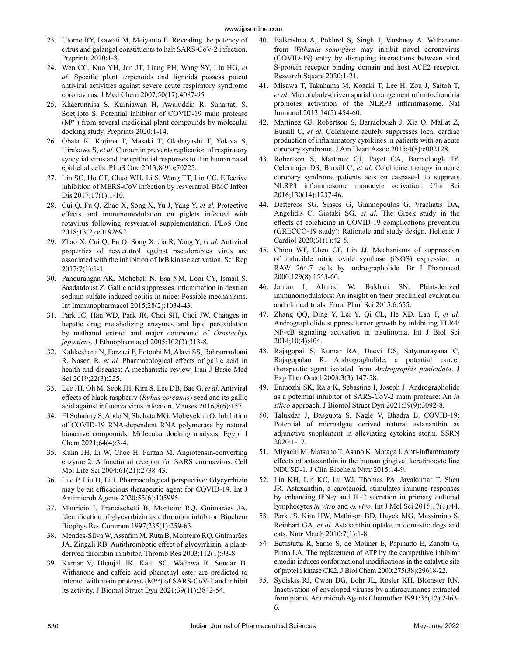- 23. Utomo RY, Ikawati M, Meiyanto E. [Revealing the potency of](https://www.preprints.org/manuscript/202003.0214/v1)  [citrus and galangal constituents to halt SARS-CoV-2 infection.](https://www.preprints.org/manuscript/202003.0214/v1) Preprints 2020:1-8.
- 24. Wen CC, Kuo YH, Jan JT, Liang PH, Wang SY, Liu HG, *et al.* [Specific plant terpenoids and lignoids possess potent](https://pubs.acs.org/doi/10.1021/jm070295s)  [antiviral activities against severe acute respiratory syndrome](https://pubs.acs.org/doi/10.1021/jm070295s)  [coronavirus](https://pubs.acs.org/doi/10.1021/jm070295s). J Med Chem 2007;50(17):4087-95.
- 25. Khaerunnisa S, Kurniawan H, Awaluddin R, Suhartati S, Soetjipto S. [Potential inhibitor of COVID-19 main protease](https://www.preprints.org/manuscript/202003.0226/v1)  (Mpro) from several medicinal plant compounds by molecular [docking study.](https://www.preprints.org/manuscript/202003.0226/v1) Preprints 2020:1-14.
- 26. Obata K, Kojima T, Masaki T, Okabayashi T, Yokota S, Hirakawa S, *et al.* [Curcumin prevents replication of respiratory](https://journals.plos.org/plosone/article?id=10.1371/journal.pone.0070225)  [syncytial virus and the epithelial responses to it in human nasal](https://journals.plos.org/plosone/article?id=10.1371/journal.pone.0070225)  [epithelial cells.](https://journals.plos.org/plosone/article?id=10.1371/journal.pone.0070225) PLoS One 2013;8(9):e70225.
- 27. Lin SC, Ho CT, Chuo WH, Li S, Wang TT, Lin CC. [Effective](https://bmcinfectdis.biomedcentral.com/articles/10.1186/s12879-017-2253-8)  [inhibition of MERS-CoV infection by resveratrol](https://bmcinfectdis.biomedcentral.com/articles/10.1186/s12879-017-2253-8). BMC Infect Dis 2017;17(1):1-10.
- 28. Cui Q, Fu Q, Zhao X, Song X, Yu J, Yang Y, *et al.* [Protective](https://journals.plos.org/plosone/article?id=10.1371/journal.pone.0192692)  [effects and immunomodulation on piglets infected with](https://journals.plos.org/plosone/article?id=10.1371/journal.pone.0192692)  [rotavirus following resveratrol supplementation.](https://journals.plos.org/plosone/article?id=10.1371/journal.pone.0192692) PLoS One 2018;13(2):e0192692.
- 29. Zhao X, Cui Q, Fu Q, Song X, Jia R, Yang Y, *et al.* [Antiviral](https://www.nature.com/articles/s41598-017-09365-0)  [properties of resveratrol against pseudorabies virus are](https://www.nature.com/articles/s41598-017-09365-0)  [associated with the inhibition of IκB kinase activation.](https://www.nature.com/articles/s41598-017-09365-0) Sci Rep 2017;7(1):1-1.
- 30. Pandurangan AK, Mohebali N, Esa NM, Looi CY, Ismail S, Saadatdoust Z. [Gallic acid suppresses inflammation in dextran](https://www.sciencedirect.com/science/article/pii/S1567576915300771?via%3Dihub)  [sodium sulfate-induced colitis in mice: Possible mechanisms.](https://www.sciencedirect.com/science/article/pii/S1567576915300771?via%3Dihub) Int Immunopharmacol 2015;28(2):1034-43.
- 31. Park JC, Han WD, Park JR, Choi SH, Choi JW. [Changes in](https://www.sciencedirect.com/science/article/abs/pii/S0378874105004137?via%3Dihub)  [hepatic drug metabolizing enzymes and lipid peroxidation](https://www.sciencedirect.com/science/article/abs/pii/S0378874105004137?via%3Dihub)  [by methanol extract and major compound of](https://www.sciencedirect.com/science/article/abs/pii/S0378874105004137?via%3Dihub) *Orostachys [japonicus](https://www.sciencedirect.com/science/article/abs/pii/S0378874105004137?via%3Dihub)*. J Ethnopharmacol 2005;102(3):313-8.
- 32. Kahkeshani N, Farzaei F, Fotouhi M, Alavi SS, Bahramsoltani R, Naseri R, *et al.* [Pharmacological effects of gallic acid in](https://ijbms.mums.ac.ir/article_12251.html)  [health and diseases: A mechanistic review.](https://ijbms.mums.ac.ir/article_12251.html) Iran J Basic Med Sci 2019;22(3):225.
- 33. Lee JH, Oh M, Seok JH, Kim S, Lee DB, Bae G, *et al.* [Antiviral](https://www.mdpi.com/1999-4915/8/6/157)  [effects of black raspberry \(](https://www.mdpi.com/1999-4915/8/6/157)*Rubus coreanus*) seed and its gallic [acid against influenza virus infection](https://www.mdpi.com/1999-4915/8/6/157). Viruses 2016;8(6):157.
- 34. El Sohaimy S, Abdo N, Shehata MG, Moheyeldin O. [Inhibition](https://ejchem.journals.ekb.eg/article_142912.html)  [of COVID-19 RNA-dependent RNA polymerase by natural](https://ejchem.journals.ekb.eg/article_142912.html)  [bioactive compounds: Molecular docking analysis](https://ejchem.journals.ekb.eg/article_142912.html). Egypt J Chem 2021;64(4):3-4.
- 35. Kuhn JH, Li W, Choe H, Farzan M. [Angiotensin-converting](https://www.nature.com/articles/nature02145)  [enzyme 2: A functional receptor for SARS coronavirus.](https://www.nature.com/articles/nature02145) Cell Mol Life Sci 2004;61(21):2738-43.
- 36. Luo P, Liu D, Li J. [Pharmacological perspective: Glycyrrhizin](https://www.sciencedirect.com/science/article/pii/S0924857920301539?via%3Dihub)  [may be an efficacious therapeutic agent for COVID-19](https://www.sciencedirect.com/science/article/pii/S0924857920301539?via%3Dihub). Int J Antimicrob Agents 2020;55(6):105995.
- 37. Mauricio I, Francischetti B, Monteiro RQ, Guimarães JA. [Identification of glycyrrhizin as a thrombin inhibitor](https://www.sciencedirect.com/science/article/abs/pii/S0006291X97967358?via%3Dihub). Biochem Biophys Res Commun 1997;235(1):259-63.
- 38. Mendes-Silva W, Assafim M, Ruta B, Monteiro RQ, Guimarães JA, Zingali RB. [Antithrombotic effect of glycyrrhizin, a plant](https://www.thrombosisresearch.com/article/S0049-3848(03)00542-5/fulltext)[derived thrombin inhibitor.](https://www.thrombosisresearch.com/article/S0049-3848(03)00542-5/fulltext) Thromb Res 2003;112(1):93-8.
- 39. Kumar V, Dhanjal JK, Kaul SC, Wadhwa R, Sundar D. Withanone and caffeic acid phenethyl ester are predicted to interact with main protease (MPro) of SARS-CoV-2 and inhibit its activity. J Biomol Struct Dyn 2021;39(11):3842-54.
- 40. Balkrishna A, Pokhrel S, Singh J, Varshney A. [Withanone](https://www.dovepress.com/withanone-from-withania-somnifera-attenuates-sars-cov-2-rbd-and-host-a-peer-reviewed-fulltext-article-DDDT) from *Withania somnifera* [may inhibit novel coronavirus](https://www.dovepress.com/withanone-from-withania-somnifera-attenuates-sars-cov-2-rbd-and-host-a-peer-reviewed-fulltext-article-DDDT) [\(COVID-19\) entry by disrupting interactions between viral](https://www.dovepress.com/withanone-from-withania-somnifera-attenuates-sars-cov-2-rbd-and-host-a-peer-reviewed-fulltext-article-DDDT) [S-protein receptor binding domain and host ACE2 receptor](https://www.dovepress.com/withanone-from-withania-somnifera-attenuates-sars-cov-2-rbd-and-host-a-peer-reviewed-fulltext-article-DDDT). Research Square 2020;1-21.
- 41. Misawa T, Takahama M, Kozaki T, Lee H, Zou J, Saitoh T, *et al.* [Microtubule-driven spatial arrangement of mitochondria](https://www.nature.com/articles/ni.2550) [promotes activation of the NLRP3 inflammasome](https://www.nature.com/articles/ni.2550). Nat Immunol 2013;14(5):454-60.
- 42. Martínez GJ, Robertson S, Barraclough J, Xia Q, Mallat Z, Bursill C, *et al.* [Colchicine acutely suppresses local cardiac](https://www.ahajournals.org/doi/10.1161/JAHA.115.002128) [production of inflammatory cytokines in patients with an acute](https://www.ahajournals.org/doi/10.1161/JAHA.115.002128) [coronary syndrome.](https://www.ahajournals.org/doi/10.1161/JAHA.115.002128) J Am Heart Assoc 2015;4(8):e002128.
- 43. Robertson S, Martínez GJ, Payet CA, Barraclough JY, Celermajer DS, Bursill C, *et al.* [Colchicine therapy in acute](https://portlandpress.com/clinsci/article-abstract/130/14/1237/71504/Colchicine-therapy-in-acute-coronary-syndrome?redirectedFrom=fulltext) [coronary syndrome patients acts on caspase-1 to suppress](https://portlandpress.com/clinsci/article-abstract/130/14/1237/71504/Colchicine-therapy-in-acute-coronary-syndrome?redirectedFrom=fulltext) [NLRP3 inflammasome monocyte activation.](https://portlandpress.com/clinsci/article-abstract/130/14/1237/71504/Colchicine-therapy-in-acute-coronary-syndrome?redirectedFrom=fulltext) Clin Sci 2016;130(14):1237-46.
- 44. Deftereos SG, Siasos G, Giannopoulos G, Vrachatis DA, Angelidis C, Giotaki SG, *et al.* [The Greek study in the](https://www.sciencedirect.com/science/article/pii/S1109966620300610?via%3Dihub) [effects of colchicine in COVID-19 complications prevention](https://www.sciencedirect.com/science/article/pii/S1109966620300610?via%3Dihub) [\(GRECCO-19 study\): Rationale and study design](https://www.sciencedirect.com/science/article/pii/S1109966620300610?via%3Dihub). Hellenic J Cardiol 2020;61(1):42-5.
- 45. Chiou WF, Chen CF, Lin JJ. [Mechanisms of suppression](https://www.ncbi.nlm.nih.gov/pmc/articles/PMC1571992/) [of inducible nitric oxide synthase \(iNOS\) expression in](https://www.ncbi.nlm.nih.gov/pmc/articles/PMC1571992/) [RAW 264.7 cells by andrographolide](https://www.ncbi.nlm.nih.gov/pmc/articles/PMC1571992/). Br J Pharmacol 2000;129(8):1553-60.
- 46. Jantan I, Ahmad W, Bukhari SN. [Plant-derived](https://www.frontiersin.org/articles/10.3389/fpls.2015.00655/full) [immunomodulators: An insight on their preclinical evaluation](https://www.frontiersin.org/articles/10.3389/fpls.2015.00655/full) [and clinical trials](https://www.frontiersin.org/articles/10.3389/fpls.2015.00655/full). Front Plant Sci 2015;6:655.
- 47. Zhang QQ, Ding Y, Lei Y, Qi CL, He XD, Lan T, *et al.* [Andrographolide suppress tumor growth by inhibiting TLR4/](https://www.ijbs.com/v10p0404.htm) [NF-κB signaling activation in insulinoma](https://www.ijbs.com/v10p0404.htm). Int J Biol Sci 2014;10(4):404.
- 48. Rajagopal S, Kumar RA, Deevi DS, Satyanarayana C, Rajagopalan R. [Andrographolide, a potential cancer](https://onlinelibrary.wiley.com/doi/abs/10.1046/j.1359-4117.2003.01090.x) [therapeutic agent isolated from](https://onlinelibrary.wiley.com/doi/abs/10.1046/j.1359-4117.2003.01090.x) *Andrographis paniculata*. J Exp Ther Oncol 2003;3(3):147-58.
- 49. Enmozhi SK, Raja K, Sebastine I, Joseph J. [Andrographolide](https://www.tandfonline.com/doi/full/10.1080/07391102.2020.1760136) [as a potential inhibitor of SARS-CoV-2 main protease: An](https://www.tandfonline.com/doi/full/10.1080/07391102.2020.1760136) *in silico* [approach.](https://www.tandfonline.com/doi/full/10.1080/07391102.2020.1760136) J Biomol Struct Dyn 2021;39(9):3092-8.
- 50. Talukdar J, Dasgupta S, Nagle V, Bhadra B. [COVID-19:](https://papers.ssrn.com/sol3/papers.cfm?abstract_id=3579738) [Potential of microalgae derived natural astaxanthin as](https://papers.ssrn.com/sol3/papers.cfm?abstract_id=3579738) [adjunctive supplement in alleviating cytokine storm.](https://papers.ssrn.com/sol3/papers.cfm?abstract_id=3579738) SSRN 2020:1-17.
- 51. Miyachi M, Matsuno T, Asano K, Mataga I. [Anti-inflammatory](https://www.jstage.jst.go.jp/article/jcbn/56/3/56_14-109/_article) [effects of astaxanthin in the human gingival keratinocyte line](https://www.jstage.jst.go.jp/article/jcbn/56/3/56_14-109/_article) [NDUSD-1.](https://www.jstage.jst.go.jp/article/jcbn/56/3/56_14-109/_article) J Clin Biochem Nutr 2015:14-9.
- 52. Lin KH, Lin KC, Lu WJ, Thomas PA, Jayakumar T, Sheu JR. [Astaxanthin, a carotenoid, stimulates immune responses](https://www.mdpi.com/1422-0067/17/1/44) [by enhancing IFN-γ and IL-2 secretion in primary cultured](https://www.mdpi.com/1422-0067/17/1/44) [lymphocytes](https://www.mdpi.com/1422-0067/17/1/44) *in vitro* and *ex vivo*. Int J Mol Sci 2015;17(1):44.
- 53. Park JS, Kim HW, Mathison BD, Hayek MG, Massimino S, Reinhart GA, *et al.* [Astaxanthin uptake in domestic dogs and](https://nutritionandmetabolism.biomedcentral.com/articles/10.1186/1743-7075-7-52) [cats](https://nutritionandmetabolism.biomedcentral.com/articles/10.1186/1743-7075-7-52). Nutr Metab 2010;7(1):1-8.
- 54. Battistutta R, Sarno S, de Moliner E, Papinutto E, Zanotti G, Pinna LA. [The replacement of ATP by the competitive inhibitor](https://www.sciencedirect.com/science/article/pii/S0021925819794459?via%3Dihub) [emodin induces conformational modifications in the catalytic site](https://www.sciencedirect.com/science/article/pii/S0021925819794459?via%3Dihub) [of protein kinase CK2](https://www.sciencedirect.com/science/article/pii/S0021925819794459?via%3Dihub). J Biol Chem 2000;275(38):29618-22.
- 55. Sydiskis RJ, Owen DG, Lohr JL, Rosler KH, Blomster RN. [Inactivation of enveloped viruses by anthraquinones extracted](https://journals.asm.org/doi/abs/10.1128/AAC.35.12.2463) [from plants.](https://journals.asm.org/doi/abs/10.1128/AAC.35.12.2463) Antimicrob Agents Chemother 1991;35(12):2463- 6.